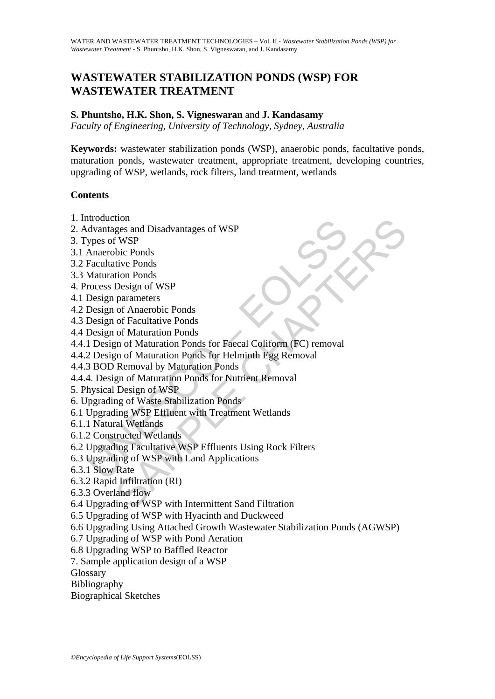# **WASTEWATER STABILIZATION PONDS (WSP) FOR WASTEWATER TREATMENT**

#### **S. Phuntsho, H.K. Shon, S. Vigneswaran** and **J. Kandasamy**

*Faculty of Engineering, University of Technology, Sydney, Australia* 

**Keywords:** wastewater stabilization ponds (WSP), anaerobic ponds, facultative ponds, maturation ponds, wastewater treatment, appropriate treatment, developing countries, upgrading of WSP, wetlands, rock filters, land treatment, wetlands

### **Contents**

- 1. Introduction
- 2. Advantages and Disadvantages of WSP
- 3. Types of WSP
- 3.1 Anaerobic Ponds
- 3.2 Facultative Ponds
- 3.3 Maturation Ponds
- 4. Process Design of WSP
- 4.1 Design parameters
- 4.2 Design of Anaerobic Ponds
- 4.3 Design of Facultative Ponds
- 4.4 Design of Maturation Ponds
- Houcation<br>
davantages and Disadvantages of WSP<br>
ypes of WSP<br>
Anaerobic Ponds<br>
Facultative Ponds<br>
Facultative Ponds<br>
Maturation Ponds<br>
Design of Anaerobic Ponds<br>
Design of Anaerobic Ponds<br>
Design of Maturation Ponds<br>
Design tom<br>ges and Disadvantages of WSP<br>ges and Disadvantages of WSP<br>bic Ponds<br>tion Ponds<br>Design of WSP<br>parameters<br>of Anaerobic Ponds<br>of Facultative Ponds<br>of Facultative Ponds<br>of Maturation Ponds<br>an of Maturation Ponds<br>Removal by 4.4.1 Design of Maturation Ponds for Faecal Coliform (FC) removal
- 4.4.2 Design of Maturation Ponds for Helminth Egg Removal
- 4.4.3 BOD Removal by Maturation Ponds
- 4.4.4. Design of Maturation Ponds for Nutrient Removal
- 5. Physical Design of WSP
- 6. Upgrading of Waste Stabilization Ponds
- 6.1 Upgrading WSP Effluent with Treatment Wetlands
- 6.1.1 Natural Wetlands
- 6.1.2 Constructed Wetlands
- 6.2 Upgrading Facultative WSP Effluents Using Rock Filters
- 6.3 Upgrading of WSP with Land Applications
- 6.3.1 Slow Rate
- 6.3.2 Rapid Infiltration (RI)
- 6.3.3 Overland flow
- 6.4 Upgrading of WSP with Intermittent Sand Filtration
- 6.5 Upgrading of WSP with Hyacinth and Duckweed
- 6.6 Upgrading Using Attached Growth Wastewater Stabilization Ponds (AGWSP)
- 6.7 Upgrading of WSP with Pond Aeration
- 6.8 Upgrading WSP to Baffled Reactor
- 7. Sample application design of a WSP

**Glossary** 

Bibliography

Biographical Sketches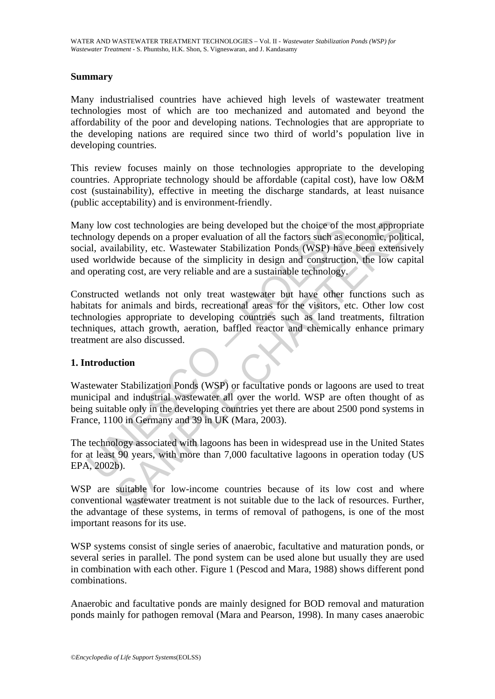### **Summary**

Many industrialised countries have achieved high levels of wastewater treatment technologies most of which are too mechanized and automated and beyond the affordability of the poor and developing nations. Technologies that are appropriate to the developing nations are required since two third of world's population live in developing countries.

This review focuses mainly on those technologies appropriate to the developing countries. Appropriate technology should be affordable (capital cost), have low O&M cost (sustainability), effective in meeting the discharge standards, at least nuisance (public acceptability) and is environment-friendly.

ny low cost technologies are being developed but the choice of th<br>nology depends on a proper evaluation of all the factors such as e<br>al, availability, etc. Wastewater Stabilization Ponds (WSP) have<br>if worldwide because of cost technologies are being developed but the choice of the most approprecept depends on a proper evaluation of all the factors such as economic, politilability, etc. Wastewater Stabilization Ponds (WSP) have been extensit Many low cost technologies are being developed but the choice of the most appropriate technology depends on a proper evaluation of all the factors such as economic, political, social, availability, etc. Wastewater Stabilization Ponds (WSP) have been extensively used worldwide because of the simplicity in design and construction, the low capital and operating cost, are very reliable and are a sustainable technology.

Constructed wetlands not only treat wastewater but have other functions such as habitats for animals and birds, recreational areas for the visitors, etc. Other low cost technologies appropriate to developing countries such as land treatments, filtration techniques, attach growth, aeration, baffled reactor and chemically enhance primary treatment are also discussed.

#### **1. Introduction**

Wastewater Stabilization Ponds (WSP) or facultative ponds or lagoons are used to treat municipal and industrial wastewater all over the world. WSP are often thought of as being suitable only in the developing countries yet there are about 2500 pond systems in France, 1100 in Germany and 39 in UK (Mara, 2003).

The technology associated with lagoons has been in widespread use in the United States for at least 90 years, with more than 7,000 facultative lagoons in operation today (US EPA, 2002b).

WSP are suitable for low-income countries because of its low cost and where conventional wastewater treatment is not suitable due to the lack of resources. Further, the advantage of these systems, in terms of removal of pathogens, is one of the most important reasons for its use.

WSP systems consist of single series of anaerobic, facultative and maturation ponds, or several series in parallel. The pond system can be used alone but usually they are used in combination with each other. Figure 1 (Pescod and Mara, 1988) shows different pond combinations.

Anaerobic and facultative ponds are mainly designed for BOD removal and maturation ponds mainly for pathogen removal (Mara and Pearson, 1998). In many cases anaerobic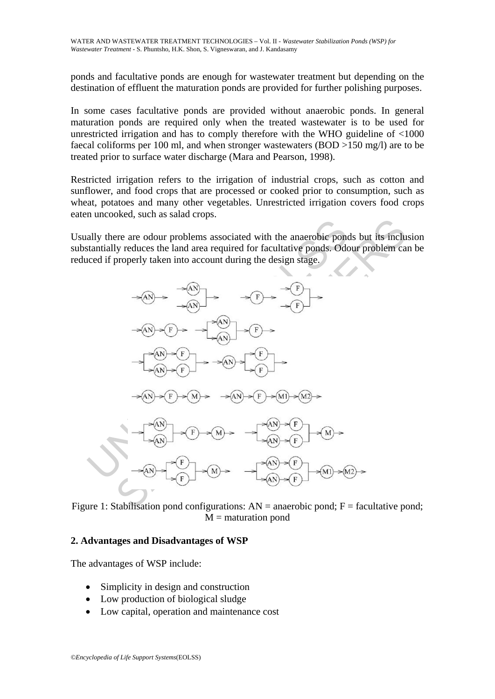ponds and facultative ponds are enough for wastewater treatment but depending on the destination of effluent the maturation ponds are provided for further polishing purposes.

In some cases facultative ponds are provided without anaerobic ponds. In general maturation ponds are required only when the treated wastewater is to be used for unrestricted irrigation and has to comply therefore with the WHO guideline of <1000 faecal coliforms per 100 ml, and when stronger wastewaters (BOD >150 mg/l) are to be treated prior to surface water discharge (Mara and Pearson, 1998).

Restricted irrigation refers to the irrigation of industrial crops, such as cotton and sunflower, and food crops that are processed or cooked prior to consumption, such as wheat, potatoes and many other vegetables. Unrestricted irrigation covers food crops eaten uncooked, such as salad crops.

Usually there are odour problems associated with the anaerobic ponds but its inclusion substantially reduces the land area required for facultative ponds. Odour problem can be reduced if properly taken into account during the design stage.



Figure 1: Stabilisation pond configurations:  $AN =$  anaerobic pond;  $F =$  facultative pond;  $M =$  maturation pond

#### **2. Advantages and Disadvantages of WSP**

The advantages of WSP include:

- Simplicity in design and construction
- Low production of biological sludge
- Low capital, operation and maintenance cost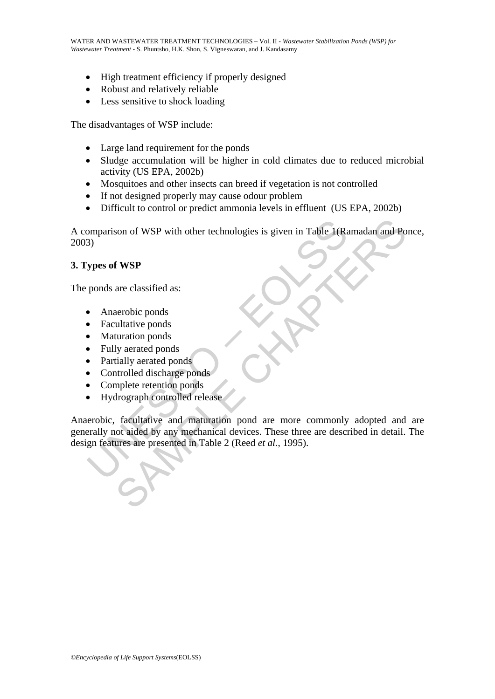- High treatment efficiency if properly designed
- Robust and relatively reliable
- Less sensitive to shock loading

The disadvantages of WSP include:

- Large land requirement for the ponds
- Sludge accumulation will be higher in cold climates due to reduced microbial activity (US EPA, 2002b)
- Mosquitoes and other insects can breed if vegetation is not controlled
- If not designed properly may cause odour problem
- Difficult to control or predict ammonia levels in effluent (US EPA, 2002b)

A comparison of WSP with other technologies is given in Table 1(Ramadan and Ponce, 2003)

### **3. Types of WSP**

The ponds are classified as:

- Anaerobic ponds
- Facultative ponds
- Maturation ponds
- Fully aerated ponds
- Partially aerated ponds
- Controlled discharge ponds
- Complete retention ponds
- Hydrograph controlled release

omparison of WSP with other technologies is given in Table 1(Rz<br>
3)<br>
ypes of WSP<br>
ponds are classified as:<br>
• Anaerobic ponds<br>
• Facultative ponds<br>
• Facultative ponds<br>
• Controlled discharge ponds<br>
• Controlled discharge Son of WSP with other technologies is given in Table 1(Ramadan and Po<br> **f WSP**<br>
are classified as:<br>
aerobic ponds<br>
ultative ponds<br>
ultative ponds<br>
lurated ponds<br>
lurated ponds<br>
implete retation ponds<br>
drograph controlled r Anaerobic, facultative and maturation pond are more commonly adopted and are generally not aided by any mechanical devices. These three are described in detail. The design features are presented in Table 2 (Reed *et al.*, 1995).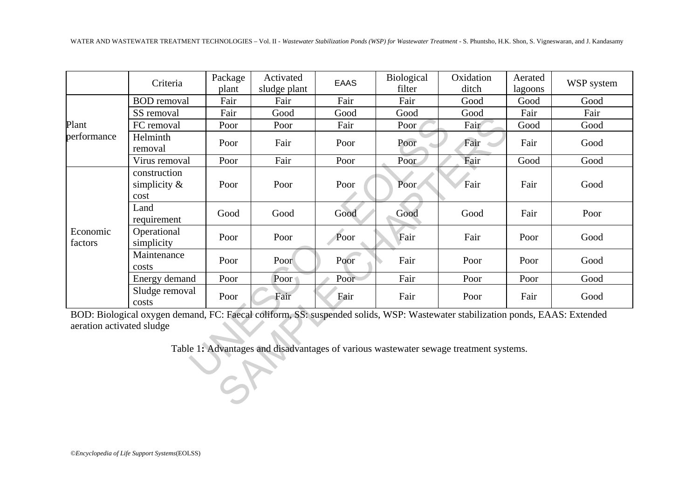|                           | Criteria                                                                                                                      | Package<br>plant | Activated<br>sludge plant | <b>EAAS</b> | Biological<br>filter | Oxidation<br>ditch                                                                    | Aerated<br>lagoons | WSP system |
|---------------------------|-------------------------------------------------------------------------------------------------------------------------------|------------------|---------------------------|-------------|----------------------|---------------------------------------------------------------------------------------|--------------------|------------|
| Plant<br>performance      | <b>BOD</b> removal                                                                                                            | Fair             | Fair                      | Fair        | Fair                 | Good                                                                                  | Good               | Good       |
|                           | SS removal                                                                                                                    | Fair             | Good                      | Good        | Good                 | Good                                                                                  | Fair               | Fair       |
|                           | FC removal                                                                                                                    | Poor             | Poor                      | Fair        | Poor                 | Fair                                                                                  | Good               | Good       |
|                           | Helminth<br>removal                                                                                                           | Poor             | Fair                      | Poor        | Poor                 | Fair                                                                                  | Fair               | Good       |
|                           | Virus removal                                                                                                                 | Poor             | Fair                      | Poor        | Poor                 | Fair                                                                                  | Good               | Good       |
| Economic<br>factors       | construction<br>simplicity $\&$<br>cost                                                                                       | Poor             | Poor                      | Poor        | Poor                 | Fair                                                                                  | Fair               | Good       |
|                           | Land<br>requirement                                                                                                           | Good             | Good                      | Good        | Good                 | Good                                                                                  | Fair               | Poor       |
|                           | Operational<br>simplicity                                                                                                     | Poor             | Poor                      | Poor        | Fair                 | Fair                                                                                  | Poor               | Good       |
|                           | Maintenance<br>costs                                                                                                          | Poor             | Poor                      | Poor        | Fair                 | Poor                                                                                  | Poor               | Good       |
|                           | Energy demand                                                                                                                 | Poor             | Poor                      | Poor        | Fair                 | Poor                                                                                  | Poor               | Good       |
|                           | Sludge removal<br>costs                                                                                                       | Poor             | Fair                      | Fair        | Fair                 | Poor                                                                                  | Fair               | Good       |
| aeration activated sludge | BOD: Biological oxygen demand, FC: Faecal coliform, SS: suspended solids, WSP: Wastewater stabilization ponds, EAAS: Extended |                  |                           |             |                      |                                                                                       |                    |            |
|                           |                                                                                                                               |                  |                           |             |                      | Table 1: Advantages and disadvantages of various wastewater sewage treatment systems. |                    |            |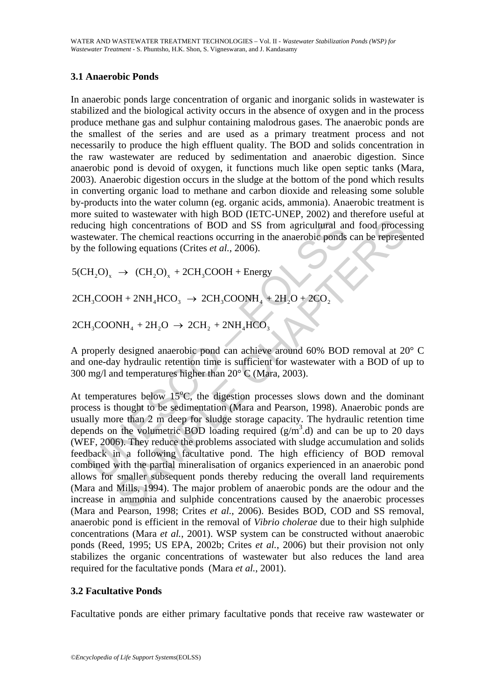### **3.1 Anaerobic Ponds**

In anaerobic ponds large concentration of organic and inorganic solids in wastewater is stabilized and the biological activity occurs in the absence of oxygen and in the process produce methane gas and sulphur containing malodrous gases. The anaerobic ponds are the smallest of the series and are used as a primary treatment process and not necessarily to produce the high effluent quality. The BOD and solids concentration in the raw wastewater are reduced by sedimentation and anaerobic digestion. Since anaerobic pond is devoid of oxygen, it functions much like open septic tanks (Mara, 2003). Anaerobic digestion occurs in the sludge at the bottom of the pond which results in converting organic load to methane and carbon dioxide and releasing some soluble by-products into the water column (eg. organic acids, ammonia). Anaerobic treatment is more suited to wastewater with high BOD (IETC-UNEP, 2002) and therefore useful at reducing high concentrations of BOD and SS from agricultural and food processing wastewater. The chemical reactions occurring in the anaerobic ponds can be represented by the following equations (Crites *et al.*, 2006).

 $5(CH, O) \rightarrow (CH, O)$  + 2CH<sub>2</sub>COOH + Energy

 $2CH_3COOH + 2NH_4HCO_3 \rightarrow 2CH_3COONH_4 + 2H_2O + 2CO_2$ 

 $2CH_2COONH_4 + 2H_2O \rightarrow 2CH_2 + 2NH_4HCO_3$ 

A properly designed anaerobic pond can achieve around 60% BOD removal at 20° C and one-day hydraulic retention time is sufficient for wastewater with a BOD of up to 300 mg/l and temperatures higher than 20° C (Mara, 2003).

cring high concentrations of BOD and SS from agricultural an<br>tewater. The chemical reactions occurring in the anaerobic ponds<br>he following equations (Crites *et al.*, 2006).<br> $H_2O_x$  →  $(CH_2O)_x$  + 2CH<sub>3</sub>COOH + Energy<br> $H_3CO$ igh concentrations of BOD and SS from agricultural and food process.<br>
The chemical reactions occurring in the anaerobic ponds can be represe<br>
wing equations (Crites *et al.*, 2006).<br>  $\rightarrow$  (CH<sub>2</sub>O)<sub>x</sub> + 2CH<sub>3</sub>COOH + Energy At temperatures below  $15^{\circ}$ C, the digestion processes slows down and the dominant process is thought to be sedimentation (Mara and Pearson, 1998). Anaerobic ponds are usually more than 2 m deep for sludge storage capacity. The hydraulic retention time depends on the volumetric BOD loading required  $(g/m<sup>3</sup>.d)$  and can be up to 20 days (WEF, 2006). They reduce the problems associated with sludge accumulation and solids feedback in a following facultative pond. The high efficiency of BOD removal combined with the partial mineralisation of organics experienced in an anaerobic pond allows for smaller subsequent ponds thereby reducing the overall land requirements (Mara and Mills, 1994). The major problem of anaerobic ponds are the odour and the increase in ammonia and sulphide concentrations caused by the anaerobic processes (Mara and Pearson, 1998; Crites *et al.*, 2006). Besides BOD, COD and SS removal, anaerobic pond is efficient in the removal of *Vibrio cholerae* due to their high sulphide concentrations (Mara *et al.*, 2001). WSP system can be constructed without anaerobic ponds (Reed, 1995; US EPA, 2002b; Crites *et al.*, 2006) but their provision not only stabilizes the organic concentrations of wastewater but also reduces the land area required for the facultative ponds (Mara *et al.*, 2001).

## **3.2 Facultative Ponds**

Facultative ponds are either primary facultative ponds that receive raw wastewater or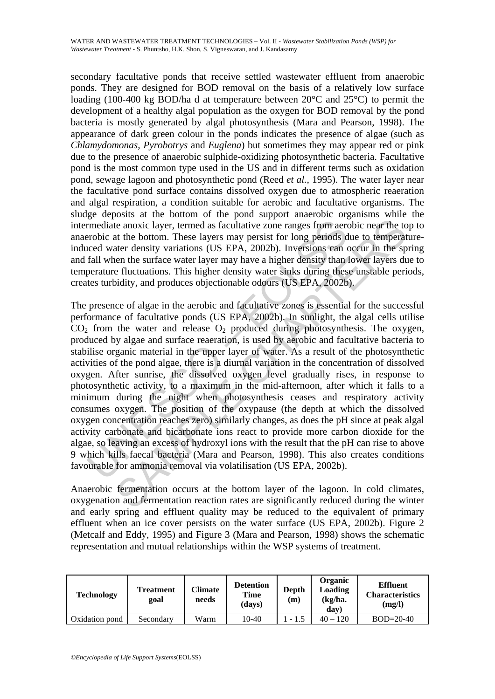secondary facultative ponds that receive settled wastewater effluent from anaerobic ponds. They are designed for BOD removal on the basis of a relatively low surface loading (100-400 kg BOD/ha d at temperature between 20°C and 25°C) to permit the development of a healthy algal population as the oxygen for BOD removal by the pond bacteria is mostly generated by algal photosynthesis (Mara and Pearson, 1998). The appearance of dark green colour in the ponds indicates the presence of algae (such as *Chlamydomonas, Pyrobotrys* and *Euglena*) but sometimes they may appear red or pink due to the presence of anaerobic sulphide-oxidizing photosynthetic bacteria. Facultative pond is the most common type used in the US and in different terms such as oxidation pond, sewage lagoon and photosynthetic pond (Reed *et al.*, 1995). The water layer near the facultative pond surface contains dissolved oxygen due to atmospheric reaeration and algal respiration, a condition suitable for aerobic and facultative organisms. The sludge deposits at the bottom of the pond support anaerobic organisms while the intermediate anoxic layer, termed as facultative zone ranges from aerobic near the top to anaerobic at the bottom. These layers may persist for long periods due to temperatureinduced water density variations (US EPA, 2002b). Inversions can occur in the spring and fall when the surface water layer may have a higher density than lower layers due to temperature fluctuations. This higher density water sinks during these unstable periods, creates turbidity, and produces objectionable odours (US EPA, 2002b).

emediate anoxic layer, termed as facultative zone ranges from aererobic at the bottom. These layers may persist for long periods doced water density variations (US EPA, 2002b). Inversions can fall when the surface water la ite anoxic layer, termed as facultative zone ranges from aerobic near the tot at the bottom. These layers may persist for long periods due to temperat the dust of density variations (US EPA, 2002b). Inversions can occur in The presence of algae in the aerobic and facultative zones is essential for the successful performance of facultative ponds (US EPA, 2002b). In sunlight, the algal cells utilise  $CO<sub>2</sub>$  from the water and release  $O<sub>2</sub>$  produced during photosynthesis. The oxygen, produced by algae and surface reaeration, is used by aerobic and facultative bacteria to stabilise organic material in the upper layer of water. As a result of the photosynthetic activities of the pond algae, there is a diurnal variation in the concentration of dissolved oxygen. After sunrise, the dissolved oxygen level gradually rises, in response to photosynthetic activity, to a maximum in the mid-afternoon, after which it falls to a minimum during the night when photosynthesis ceases and respiratory activity consumes oxygen. The position of the oxypause (the depth at which the dissolved oxygen concentration reaches zero) similarly changes, as does the pH since at peak algal activity carbonate and bicarbonate ions react to provide more carbon dioxide for the algae, so leaving an excess of hydroxyl ions with the result that the pH can rise to above 9 which kills faecal bacteria (Mara and Pearson, 1998). This also creates conditions favourable for ammonia removal via volatilisation (US EPA, 2002b).

Anaerobic fermentation occurs at the bottom layer of the lagoon. In cold climates, oxygenation and fermentation reaction rates are significantly reduced during the winter and early spring and effluent quality may be reduced to the equivalent of primary effluent when an ice cover persists on the water surface (US EPA, 2002b). Figure 2 (Metcalf and Eddy, 1995) and Figure 3 (Mara and Pearson, 1998) shows the schematic representation and mutual relationships within the WSP systems of treatment.

| Technology     | Treatment<br>goal | Climate<br>needs | <b>Detention</b><br>Time<br>(days) | Depth<br>(m) | Organic<br>Loading<br>$(kg/ha)$ .<br>day | <b>Effluent</b><br><b>Characteristics</b><br>(mg/l) |
|----------------|-------------------|------------------|------------------------------------|--------------|------------------------------------------|-----------------------------------------------------|
| Oxidation pond | Secondary         | Warm             | 10-40                              | $-1.5$       | $40 - 120$                               | $BOD = 20-40$                                       |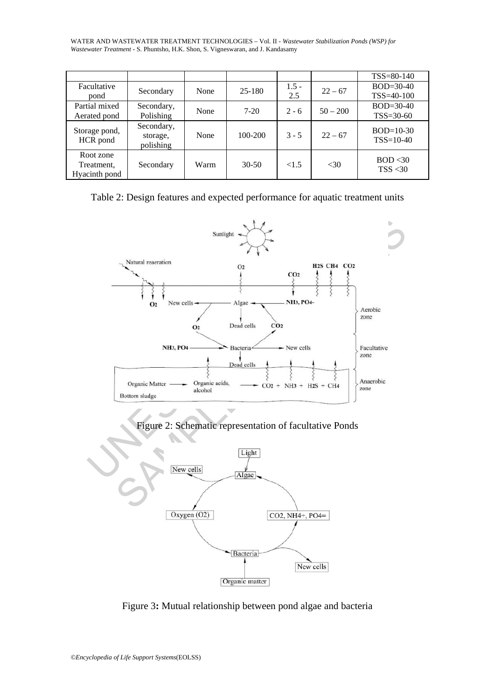WATER AND WASTEWATER TREATMENT TECHNOLOGIES – Vol. II - *Wastewater Stabilization Ponds (WSP) for Wastewater Treatment* - S. Phuntsho, H.K. Shon, S. Vigneswaran, and J. Kandasamy

|                                          |                                     |      |         |                |            | $TSS = 80-140$                 |
|------------------------------------------|-------------------------------------|------|---------|----------------|------------|--------------------------------|
| Facultative<br>pond                      | Secondary                           | None | 25-180  | $1.5 -$<br>2.5 | $22 - 67$  | $BOD = 30-40$<br>TSS=40-100    |
| Partial mixed<br>Aerated pond            | Secondary,<br>Polishing             | None | $7-20$  | $2 - 6$        | $50 - 200$ | $BOD = 30-40$<br>$TSS = 30-60$ |
| Storage pond,<br>HCR pond                | Secondary,<br>storage,<br>polishing | None | 100-200 | $3 - 5$        | $22 - 67$  | $BOD=10-30$<br>$TSS=10-40$     |
| Root zone<br>Treatment,<br>Hyacinth pond | Secondary                           | Warm | $30-50$ | <1.5           | < 30       | BOD < 30<br>TSS < 30           |

|  | Table 2: Design features and expected performance for aquatic treatment units |  |
|--|-------------------------------------------------------------------------------|--|
|  |                                                                               |  |



Figure 2: Schematic representation of facultative Ponds



Figure 3**:** Mutual relationship between pond algae and bacteria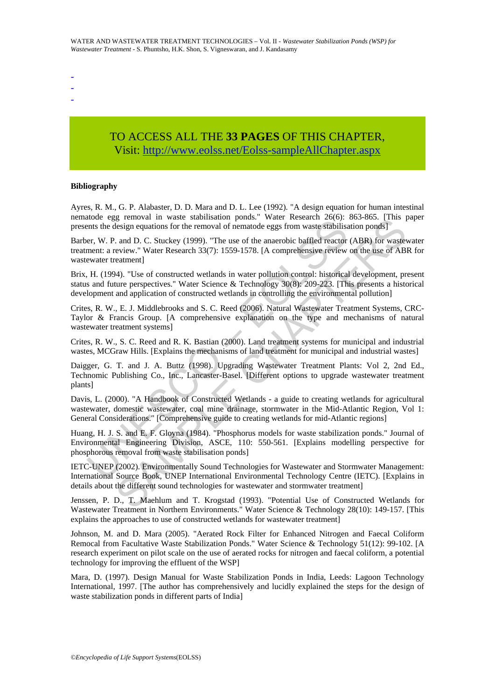- -
- -

# TO ACCESS ALL THE **33 PAGES** OF THIS CHAPTER, Visit[: http://www.eolss.net/Eolss-sampleAllChapter.aspx](https://www.eolss.net/ebooklib/sc_cart.aspx?File=E6-144-12)

#### **Bibliography**

Ayres, R. M., G. P. Alabaster, D. D. Mara and D. L. Lee (1992). "A design equation for human intestinal nematode egg removal in waste stabilisation ponds." Water Research 26(6): 863-865. [This paper presents the design equations for the removal of nematode eggs from waste stabilisation ponds]

movies experimentation of monocologics. The method of permaton contests the design equations for the removal of nematode eggs from waste stabilisties er, W. P. and D. C. Stuckey (1999). "The use of the anaerobic baffled re g elementar was es sainusation points. wat research 2000), solo-solo, transposed<br>issign equations for the removal of nematode eggs from waste stabilisation ponds]<br>
and D. C. Stuckey (1999). "The use of the anaerobic baffle Barber, W. P. and D. C. Stuckey (1999). "The use of the anaerobic baffled reactor (ABR) for wastewater treatment: a review." Water Research 33(7): 1559-1578. [A comprehensive review on the use of ABR for wastewater treatment]

Brix, H. (1994). "Use of constructed wetlands in water pollution control: historical development, present status and future perspectives." Water Science & Technology 30(8): 209-223. [This presents a historical development and application of constructed wetlands in controlling the environmental pollution]

Crites, R. W., E. J. Middlebrooks and S. C. Reed (2006). Natural Wastewater Treatment Systems, CRC-Taylor & Francis Group. [A comprehensive explanation on the type and mechanisms of natural wastewater treatment systems]

Crites, R. W., S. C. Reed and R. K. Bastian (2000). Land treatment systems for municipal and industrial wastes, MCGraw Hills. [Explains the mechanisms of land treatment for municipal and industrial wastes]

Daigger, G. T. and J. A. Buttz (1998). Upgrading Wastewater Treatment Plants: Vol 2, 2nd Ed., Technomic Publishing Co., Inc., Lancaster-Basel. [Different options to upgrade wastewater treatment plants]

Davis, L. (2000). "A Handbook of Constructed Wetlands - a guide to creating wetlands for agricultural wastewater, domestic wastewater, coal mine drainage, stormwater in the Mid-Atlantic Region, Vol 1: General Considerations." [Comprehensive guide to creating wetlands for mid-Atlantic regions]

Huang, H. J. S. and E. F. Gloyna (1984). "Phosphorus models for waste stabilization ponds." Journal of Environmental Engineering Division, ASCE, 110: 550-561. [Explains modelling perspective for phosphorous removal from waste stabilisation ponds]

IETC-UNEP (2002). Environmentally Sound Technologies for Wastewater and Stormwater Management: International Source Book, UNEP International Environmental Technology Centre (IETC). [Explains in details about the different sound technologies for wastewater and stormwater treatment]

Jenssen, P. D., T. Maehlum and T. Krogstad (1993). "Potential Use of Constructed Wetlands for Wastewater Treatment in Northern Environments." Water Science & Technology 28(10): 149-157. [This explains the approaches to use of constructed wetlands for wastewater treatment]

Johnson, M. and D. Mara (2005). "Aerated Rock Filter for Enhanced Nitrogen and Faecal Coliform Remocal from Facultative Waste Stabilization Ponds." Water Science & Technology 51(12): 99-102. [A research experiment on pilot scale on the use of aerated rocks for nitrogen and faecal coliform, a potential technology for improving the effluent of the WSP]

Mara, D. (1997). Design Manual for Waste Stabilization Ponds in India, Leeds: Lagoon Technology International, 1997. [The author has comprehensively and lucidly explained the steps for the design of waste stabilization ponds in different parts of India]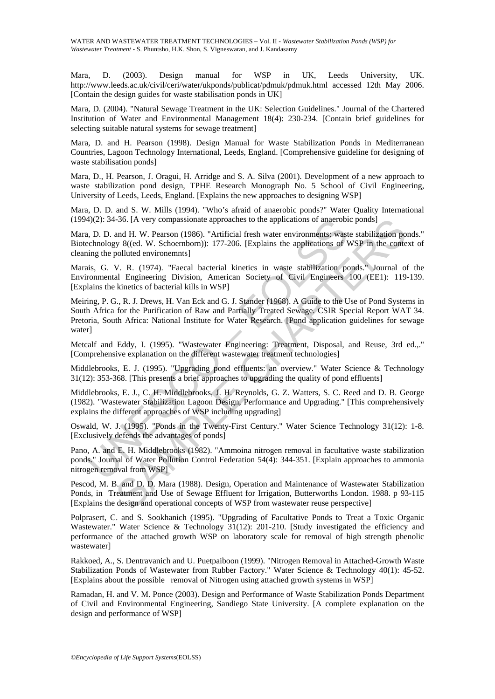Mara, D. (2003). Design manual for WSP in UK, Leeds University, UK. http://www.leeds.ac.uk/civil/ceri/water/ukponds/publicat/pdmuk/pdmuk.html accessed 12th May 2006. [Contain the design guides for waste stabilisation ponds in UK]

Mara, D. (2004). "Natural Sewage Treatment in the UK: Selection Guidelines." Journal of the Chartered Institution of Water and Environmental Management 18(4): 230-234. [Contain brief guidelines for selecting suitable natural systems for sewage treatment]

Mara, D. and H. Pearson (1998). Design Manual for Waste Stabilization Ponds in Mediterranean Countries, Lagoon Technology International, Leeds, England. [Comprehensive guideline for designing of waste stabilisation ponds]

Mara, D., H. Pearson, J. Oragui, H. Arridge and S. A. Silva (2001). Development of a new approach to waste stabilization pond design, TPHE Research Monograph No. 5 School of Civil Engineering, University of Leeds, Leeds, England. [Explains the new approaches to designing WSP]

Mara, D. D. and S. W. Mills (1994). "Who's afraid of anaerobic ponds?" Water Quality International (1994)(2): 34-36. [A very compassionate approaches to the applications of anaerobic ponds]

Mara, D. D. and H. W. Pearson (1986). "Artificial fresh water environments: waste stabilization ponds." Biotechnology 8((ed. W. Schoernborn)): 177-206. [Explains the applications of WSP in the context of cleaning the polluted environemnts]

Marais, G. V. R. (1974). "Faecal bacterial kinetics in waste stabilization ponds." Journal of the Environmental Engineering Division, American Society of Civil Engineers 100 (EE1): 119-139. [Explains the kinetics of bacterial kills in WSP]

4)(2): 34-36. [A very compassionate approaches to the applications of anaerobi<br>
1), D. D. and H. W. Pearson (1986). "Artificial fresh water environments: was<br>
technology 8((ed. W. Schoemborn)): 177-206. [Explains the appli -36. [A very compassionate approaches to the applications of anaerobic ponds]<br>
and H. W. Pearson (1986). "Artificial fresh water environments; waste stabilization po<br>
y S((ed. W. Schoemborn)): 177-206. [Explains the applie Meiring, P. G., R. J. Drews, H. Van Eck and G. J. Stander (1968). A Guide to the Use of Pond Systems in South Africa for the Purification of Raw and Partially Treated Sewage. CSIR Special Report WAT 34. Pretoria, South Africa: National Institute for Water Research. [Pond application guidelines for sewage waterl

Metcalf and Eddy, I. (1995). "Wastewater Engineering: Treatment, Disposal, and Reuse, 3rd ed.,." [Comprehensive explanation on the different wastewater treatment technologies]

Middlebrooks, E. J. (1995). "Upgrading pond effluents: an overview." Water Science & Technology 31(12): 353-368. [This presents a brief approaches to upgrading the quality of pond effluents]

Middlebrooks, E. J., C. H. Middlebrooks, J. H. Reynolds, G. Z. Watters, S. C. Reed and D. B. George (1982). "Wastewater Stabilization Lagoon Design, Performance and Upgrading." [This comprehensively explains the different approaches of WSP including upgrading]

Oswald, W. J. (1995). "Ponds in the Twenty-First Century." Water Science Technology 31(12): 1-8. [Exclusively defends the advantages of ponds]

Pano, A. and E. H. Middlebrooks (1982). "Ammoina nitrogen removal in facultative waste stabilization ponds." Journal of Water Pollution Control Federation 54(4): 344-351. [Explain approaches to ammonia nitrogen removal from WSP]

Pescod, M. B. and D. D. Mara (1988). Design, Operation and Maintenance of Wastewater Stabilization Ponds, in Treatment and Use of Sewage Effluent for Irrigation, Butterworths London. 1988. p 93-115 [Explains the design and operational concepts of WSP from wastewater reuse perspective]

Polprasert, C. and S. Sookhanich (1995). "Upgrading of Facultative Ponds to Treat a Toxic Organic Wastewater." Water Science & Technology 31(12): 201-210. [Study investigated the efficiency and performance of the attached growth WSP on laboratory scale for removal of high strength phenolic wastewater]

Rakkoed, A., S. Dentravanich and U. Puetpaiboon (1999). "Nitrogen Removal in Attached-Growth Waste Stabilization Ponds of Wastewater from Rubber Factory." Water Science & Technology 40(1): 45-52. [Explains about the possible removal of Nitrogen using attached growth systems in WSP]

Ramadan, H. and V. M. Ponce (2003). Design and Performance of Waste Stabilization Ponds Department of Civil and Environmental Engineering, Sandiego State University. [A complete explanation on the design and performance of WSP]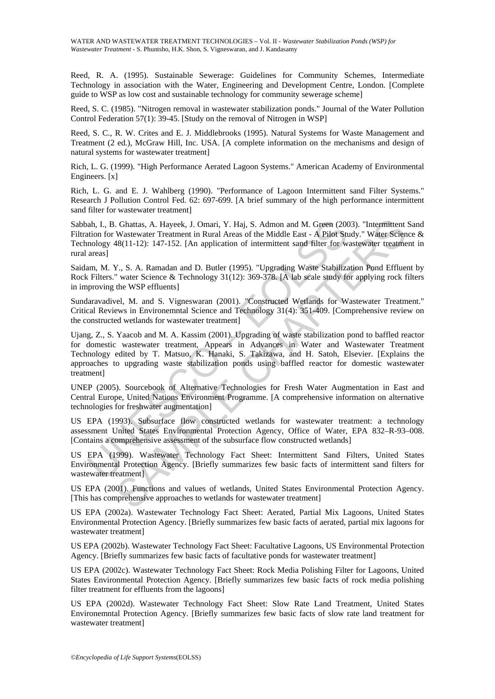Reed, R. A. (1995). Sustainable Sewerage: Guidelines for Community Schemes, Intermediate Technology in association with the Water, Engineering and Development Centre, London. [Complete guide to WSP as low cost and sustainable technology for community sewerage scheme]

Reed, S. C. (1985). "Nitrogen removal in wastewater stabilization ponds." Journal of the Water Pollution Control Federation 57(1): 39-45. [Study on the removal of Nitrogen in WSP]

Reed, S. C., R. W. Crites and E. J. Middlebrooks (1995). Natural Systems for Waste Management and Treatment (2 ed.), McGraw Hill, Inc. USA. [A complete information on the mechanisms and design of natural systems for wastewater treatment]

Rich, L. G. (1999). "High Performance Aerated Lagoon Systems." American Academy of Environmental Engineers. [x]

Rich, L. G. and E. J. Wahlberg (1990). "Performance of Lagoon Intermittent sand Filter Systems." Research J Pollution Control Fed. 62: 697-699. [A brief summary of the high performance intermittent sand filter for wastewater treatment]

Sabbah, I., B. Ghattas, A. Hayeek, J. Omari, Y. Haj, S. Admon and M. Green (2003). "Intermittent Sand Filtration for Wastewater Treatment in Rural Areas of the Middle East - A Pilot Study." Water Science & Technology 48(11-12): 147-152. [An application of intermittent sand filter for wastewater treatment in rural areas]

Saidam, M. Y., S. A. Ramadan and D. Butler (1995). "Upgrading Waste Stabilization Pond Effluent by Rock Filters." water Science & Technology 31(12): 369-378. [A lab scale study for applying rock filters in improving the WSP effluents]

Sundaravadivel, M. and S. Vigneswaran (2001). "Constructed Wetlands for Wastewater Treatment." Critical Reviews in Environemntal Science and Technology 31(4): 351-409. [Comprehensive review on the constructed wetlands for wastewater treatment]

ah, I., B. Ghattas, A. Hayeek, J. Omari, Y. Haj, S. Admon and M. Green (200<br>tion for Wastewater Treatment in Rural Areas of the Middle East - A Pilot Studion for Wastewater Treatment in Rural Areas of the Middle East - A P Chattas, A. Hayeek, J. Omari, Y. Haj, S. Admon and M. Green (2003). "Intermittent<br>Wastevater Treatment in Rural Areas of the Middle East - A Pilor Sudy." Water Scient<br>WAS(11-12): 147-152. [An application of intermittent sa Ujang, Z., S. Yaacob and M. A. Kassim (2001). Upgrading of waste stabilization pond to baffled reactor for domestic wastewater treatment, Appears in Advances in Water and Wastewater Treatment Technology edited by T. Matsuo, K. Hanaki, S. Takizawa, and H. Satoh, Elsevier. [Explains the approaches to upgrading waste stabilization ponds using baffled reactor for domestic wastewater treatment]

UNEP (2005). Sourcebook of Alternative Technologies for Fresh Water Augmentation in East and Central Europe, United Nations Environment Programme. [A comprehensive information on alternative technologies for freshwater augmentation]

US EPA (1993). Subsurface flow constructed wetlands for wastewater treatment: a technology assessment United States Environmental Protection Agency, Office of Water, EPA 832–R-93–008. [Contains a comprehensive assessment of the subsurface flow constructed wetlands]

US EPA (1999). Wastewater Technology Fact Sheet: Intermittent Sand Filters, United States Environmental Protection Agency. [Briefly summarizes few basic facts of intermittent sand filters for wastewater treatment]

US EPA (2001). Functions and values of wetlands, United States Environmental Protection Agency. [This has comprehensive approaches to wetlands for wastewater treatment]

US EPA (2002a). Wastewater Technology Fact Sheet: Aerated, Partial Mix Lagoons, United States Environmental Protection Agency. [Briefly summarizes few basic facts of aerated, partial mix lagoons for wastewater treatment]

US EPA (2002b). Wastewater Technology Fact Sheet: Facultative Lagoons, US Environmental Protection Agency. [Briefly summarizes few basic facts of facultative ponds for wastewater treatment]

US EPA (2002c). Wastewater Technology Fact Sheet: Rock Media Polishing Filter for Lagoons, United States Environmental Protection Agency. [Briefly summarizes few basic facts of rock media polishing filter treatment for effluents from the lagoons]

US EPA (2002d). Wastewater Technology Fact Sheet: Slow Rate Land Treatment, United States Environemntal Protection Agency. [Briefly summarizes few basic facts of slow rate land treatment for wastewater treatment]